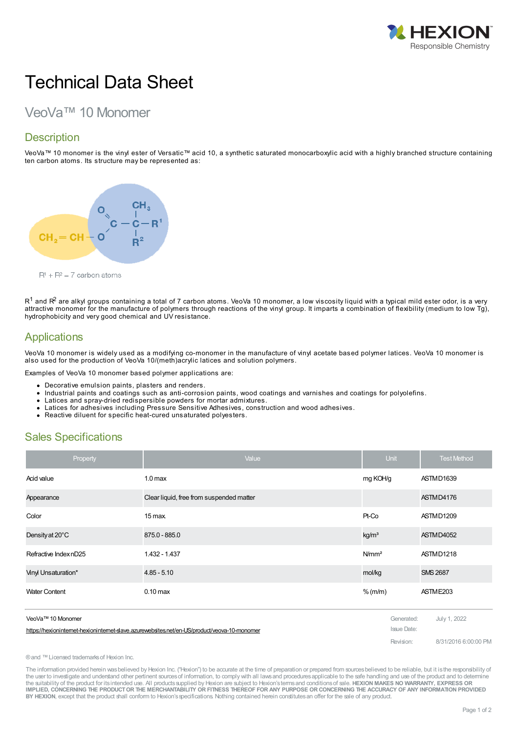

# Technical Data Sheet

# VeoVa™ 10 Monomer

# **Description**

VeoVa™ 10 monomer is the vinyl ester of Versatic™ acid 10, a synthetic saturated monocarboxylic acid with a highly branched structure containing ten carbon atoms. Its structure may be represented as:



 $R<sup>1</sup> + R<sup>2</sup> = 7$  carbon atoms

 ${\sf R}^1$  and  ${\sf R}^2$  are alkyl groups containing a total of 7 carbon atoms. VeoVa 10 monomer, a low viscosity liquid with a typical mild ester odor, is a very attractive monomer for the manufacture of polymers through reactions of the vinyl group. It imparts a combination of flexibility (medium to low Tg), hydrophobicity and very good chemical and UV resistance.

### **Applications**

VeoVa 10 monomer is widely used as a modifying co-monomer in the manufacture of vinyl acetate based polymer latices. VeoVa 10 monomer is also used for the production of VeoVa 10/(meth)acrylic latices and solution polymers.

Examples of VeoVa 10 monomer based polymer applications are:

- Decorative emulsion paints, plasters and renders.
- Industrial paints and coatings such as anti-corrosion paints, wood coatings and varnishes and coatings for polyolefins.  $\bullet$
- Latices and spray-dried redispersible powders for mortar admixtures.
- Latices for adhesives including Pressure Sensitive Adhesives, construction and wood adhesives.
- Reactive diluent for specific heat-cured unsaturated polyesters.

## Sales Specifications

| Property                                                                                     | Value                                    | Unit              | <b>Test Method</b>   |
|----------------------------------------------------------------------------------------------|------------------------------------------|-------------------|----------------------|
| Acid value                                                                                   | 1.0 <sub>max</sub>                       | mg KOH/g          | ASTMD1639            |
| Appearance                                                                                   | Clear liquid, free from suspended matter |                   | ASTMD4176            |
| Color                                                                                        | $15$ max.                                | Pt-Co             | ASTMD1209            |
| Density at 20°C                                                                              | 875.0 - 885.0                            | kg/m <sup>3</sup> | ASTMD4052            |
| Refractive Index nD25                                                                        | 1.432 - 1.437                            | N/mm <sup>2</sup> | ASTMD1218            |
| Vinyl Unsaturation*                                                                          | $4.85 - 5.10$                            | mol/kg            | <b>SMS 2687</b>      |
| <b>Water Content</b>                                                                         | $0.10 \text{ max}$                       | $%$ (m/m)         | ASTME203             |
| VeoVa™ 10 Monomer                                                                            |                                          | Generated:        |                      |
| https://hexioninternet-hexioninternet-slave.azurewebsites.net/en-US/product/veova-10-monomer |                                          | Issue Date:       | July 1, 2022         |
|                                                                                              |                                          | Revision:         | 8/31/2016 6:00:00 PM |

®and ™Licensed trademarksof Hexion Inc.

The information provided herein wasbelieved by Hexion Inc. ("Hexion") to be accurate at the time of preparation or prepared from sourcesbelieved to be reliable, but it isthe responsibility of the user to investigate and understand other pertinent sources of information, to comply with all laws and procedures applicable to the safe handling and use of the product and to determine the suitability of the product for itsintended use. All productssupplied by Hexion are subject to Hexion'stermsand conditionsof sale. **HEXION MAKES NO WARRANTY, EXPRESS OR** IMPLIED, CONCERNING THE PRODUCT OR THE MERCHANTABILITY OR FITNESS THEREOF FOR ANY PURPOSE OR CONCERNING THE ACCURACY OF ANY INFORMATION PROVIDED **BY HEXION**, except that the product shall conform to Hexion'sspecifications. Nothing contained herein constitutesan offer for the sale of any product.